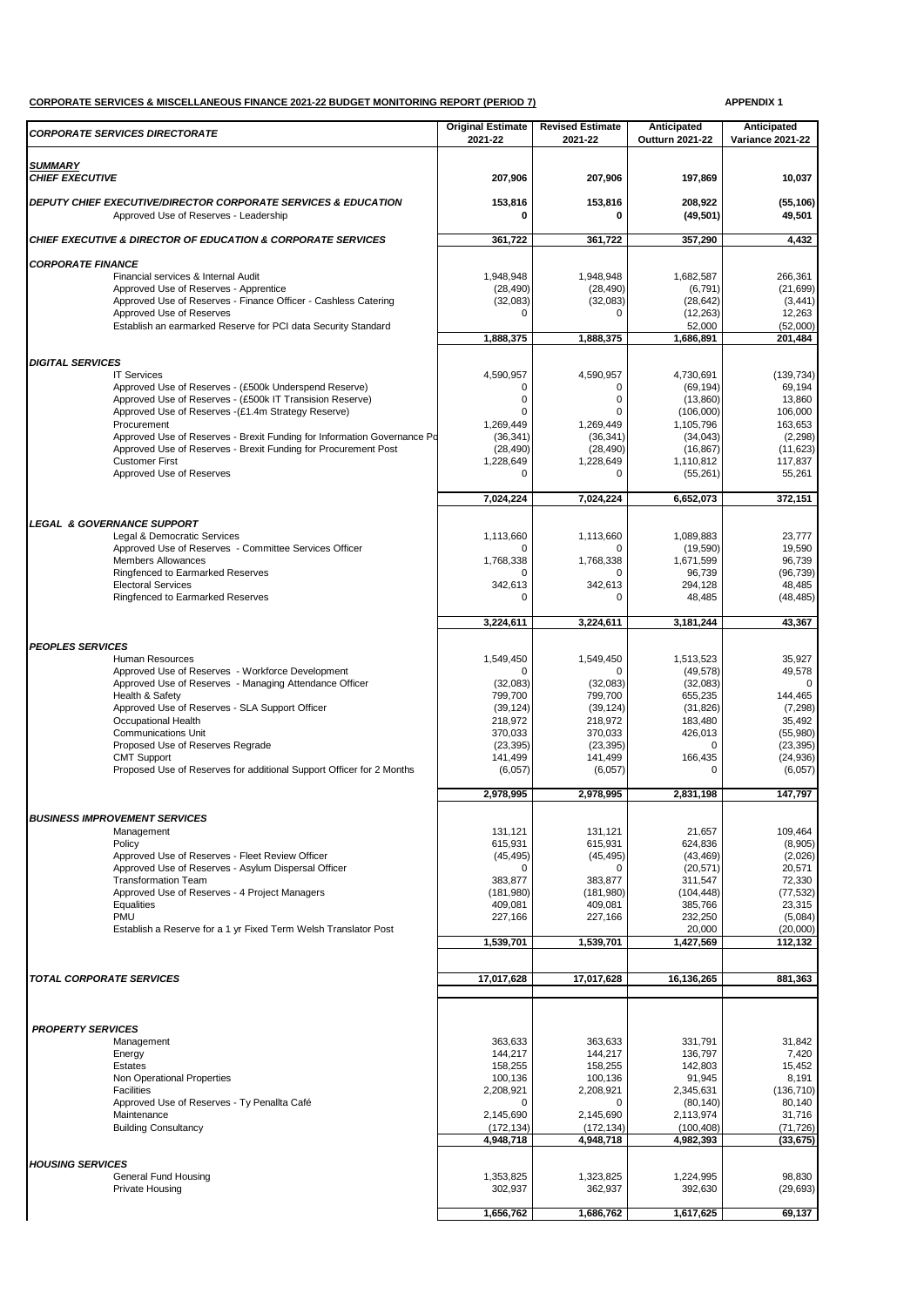## **CORPORATE SERVICES & MISCELLANEOUS FINANCE 2021-22 BUDGET MONITORING REPORT (PERIOD 7) APPENDIX 1**

| <b>CORPORATE SERVICES DIRECTORATE</b>                                                                              | <b>Original Estimate</b><br>2021-22 | <b>Revised Estimate</b><br>2021-22 | Anticipated<br><b>Outturn 2021-22</b> | Anticipated<br><b>Variance 2021-22</b> |
|--------------------------------------------------------------------------------------------------------------------|-------------------------------------|------------------------------------|---------------------------------------|----------------------------------------|
|                                                                                                                    |                                     |                                    |                                       |                                        |
| <b>SUMMARY</b><br><b>CHIEF EXECUTIVE</b>                                                                           | 207,906                             | 207,906                            | 197,869                               | 10,037                                 |
| <b>DEPUTY CHIEF EXECUTIVE/DIRECTOR CORPORATE SERVICES &amp; EDUCATION</b><br>Approved Use of Reserves - Leadership | 153,816<br>0                        | 153,816<br>0                       | 208,922<br>(49, 501)                  | (55, 106)<br>49,501                    |
| <b>CHIEF EXECUTIVE &amp; DIRECTOR OF EDUCATION &amp; CORPORATE SERVICES</b>                                        | 361,722                             | 361,722                            | 357,290                               | 4,432                                  |
| <b>CORPORATE FINANCE</b>                                                                                           |                                     |                                    |                                       |                                        |
| Financial services & Internal Audit                                                                                | 1,948,948                           | 1,948,948                          | 1.682.587                             | 266,361                                |
| Approved Use of Reserves - Apprentice                                                                              | (28, 490)                           | (28, 490)                          | (6, 791)                              | (21, 699)                              |
| Approved Use of Reserves - Finance Officer - Cashless Catering                                                     | (32,083)<br>$\Omega$                | (32,083)<br>$\Omega$               | (28, 642)                             | (3, 441)                               |
| Approved Use of Reserves<br>Establish an earmarked Reserve for PCI data Security Standard                          |                                     |                                    | (12, 263)<br>52,000                   | 12,263<br>(52,000)                     |
|                                                                                                                    | 1,888,375                           | 1,888,375                          | 1,686,891                             | 201,484                                |
|                                                                                                                    |                                     |                                    |                                       |                                        |
| <b>DIGITAL SERVICES</b><br><b>IT Services</b>                                                                      | 4,590,957                           | 4,590,957                          | 4,730,691                             | (139, 734)                             |
| Approved Use of Reserves - (£500k Underspend Reserve)                                                              | 0                                   | 0                                  | (69, 194)                             | 69,194                                 |
| Approved Use of Reserves - (£500k IT Transision Reserve)                                                           | 0                                   | 0                                  | (13,860)                              | 13,860                                 |
| Approved Use of Reserves - (£1.4m Strategy Reserve)                                                                | $\Omega$                            | $\Omega$                           | (106,000)                             | 106,000                                |
| Procurement<br>Approved Use of Reserves - Brexit Funding for Information Governance Po                             | 1,269,449<br>(36, 341)              | 1,269,449<br>(36, 341)             | 1,105,796<br>(34,043)                 | 163,653<br>(2, 298)                    |
| Approved Use of Reserves - Brexit Funding for Procurement Post                                                     | (28, 490)                           | (28, 490)                          | (16, 867)                             | (11, 623)                              |
| <b>Customer First</b>                                                                                              | 1,228,649                           | 1,228,649                          | 1,110,812                             | 117,837                                |
| Approved Use of Reserves                                                                                           | $\Omega$                            | $\Omega$                           | (55, 261)                             | 55,261                                 |
|                                                                                                                    | 7,024,224                           | 7,024,224                          | 6,652,073                             | 372,151                                |
|                                                                                                                    |                                     |                                    |                                       |                                        |
| <b>LEGAL &amp; GOVERNANCE SUPPORT</b>                                                                              |                                     |                                    |                                       |                                        |
| Legal & Democratic Services<br>Approved Use of Reserves - Committee Services Officer                               | 1,113,660<br>U                      | 1,113,660<br>0                     | 1,089,883<br>(19, 590)                | 23,777<br>19,590                       |
| <b>Members Allowances</b>                                                                                          | 1,768,338                           | 1,768,338                          | 1,671,599                             | 96.739                                 |
| Ringfenced to Earmarked Reserves                                                                                   | $\Omega$                            | ŋ                                  | 96,739                                | (96, 739)                              |
| <b>Electoral Services</b>                                                                                          | 342,613                             | 342,613                            | 294,128                               | 48,485                                 |
| Ringfenced to Earmarked Reserves                                                                                   | 0                                   | 0                                  | 48,485                                | (48, 485)                              |
|                                                                                                                    | 3,224,611                           | 3,224,611                          | 3,181,244                             | 43,367                                 |
| <b>PEOPLES SERVICES</b>                                                                                            |                                     |                                    |                                       |                                        |
| <b>Human Resources</b>                                                                                             | 1,549,450                           | 1,549,450                          | 1,513,523                             | 35,927                                 |
| Approved Use of Reserves - Workforce Development                                                                   | $\Omega$                            | ŋ                                  | (49, 578)                             | 49,578                                 |
| Approved Use of Reserves - Managing Attendance Officer                                                             | (32,083)                            | (32,083)                           | (32,083)                              | $\Omega$                               |
| Health & Safety                                                                                                    | 799,700                             | 799,700                            | 655,235                               | 144,465                                |
| Approved Use of Reserves - SLA Support Officer<br>Occupational Health                                              | (39, 124)<br>218,972                | (39, 124)<br>218,972               | (31, 826)<br>183,480                  | (7, 298)<br>35,492                     |
| <b>Communications Unit</b>                                                                                         | 370,033                             | 370,033                            | 426,013                               | (55,980)                               |
| Proposed Use of Reserves Regrade                                                                                   | (23, 395)                           | (23, 395)                          | $\mathbf 0$                           | (23, 395)                              |
| <b>CMT Support</b>                                                                                                 | 141,499                             | 141,499                            | 166,435                               | (24, 936)                              |
| Proposed Use of Reserves for additional Support Officer for 2 Months                                               | (6,057)                             | (6,057)                            | $\Omega$                              | (6,057)                                |
|                                                                                                                    | 2,978,995                           | 2,978,995                          | 2,831,198                             | 147,797                                |
| <b>BUSINESS IMPROVEMENT SERVICES</b>                                                                               |                                     |                                    |                                       |                                        |
| Management                                                                                                         | 131,121                             | 131,121                            | 21,657                                | 109,464                                |
| Policy                                                                                                             | 615,931                             | 615,931                            | 624,836                               | (8,905)                                |
| Approved Use of Reserves - Fleet Review Officer                                                                    | (45, 495)                           | (45, 495)                          | (43, 469)                             | (2,026)                                |
| Approved Use of Reserves - Asylum Dispersal Officer                                                                | O                                   | 0                                  | (20, 571)                             | 20,571                                 |
| <b>Transformation Team</b><br>Approved Use of Reserves - 4 Project Managers                                        | 383,877<br>(181,980)                | 383,877<br>(181,980)               | 311,547<br>(104, 448)                 | 72,330<br>(77, 532)                    |
| Equalities                                                                                                         | 409,081                             | 409,081                            | 385,766                               | 23,315                                 |
| PMU                                                                                                                | 227,166                             | 227,166                            | 232,250                               | (5,084)                                |
| Establish a Reserve for a 1 yr Fixed Term Welsh Translator Post                                                    |                                     | 1,539,701                          | 20,000<br>1,427,569                   | (20,000)                               |
|                                                                                                                    | 1,539,701                           |                                    |                                       | 112,132                                |
|                                                                                                                    |                                     |                                    |                                       |                                        |
| <b>TOTAL CORPORATE SERVICES</b>                                                                                    | 17,017,628                          | 17,017,628                         | 16,136,265                            | 881,363                                |
|                                                                                                                    |                                     |                                    |                                       |                                        |
| <b>PROPERTY SERVICES</b>                                                                                           |                                     |                                    |                                       |                                        |
| Management                                                                                                         | 363,633                             | 363,633                            | 331,791                               | 31,842                                 |
| Energy                                                                                                             | 144,217                             | 144,217                            | 136,797                               | 7,420                                  |
| Estates<br>Non Operational Properties                                                                              | 158,255<br>100,136                  | 158,255<br>100,136                 | 142,803<br>91,945                     | 15,452<br>8,191                        |
| Facilities                                                                                                         | 2,208,921                           | 2,208,921                          | 2,345,631                             | (136, 710)                             |
| Approved Use of Reserves - Ty Penallta Café                                                                        | 0                                   | 0                                  | (80, 140)                             | 80,140                                 |
| Maintenance                                                                                                        | 2,145,690                           | 2,145,690                          | 2,113,974                             | 31,716                                 |
| <b>Building Consultancy</b>                                                                                        | (172, 134)                          | (172, 134)                         | (100, 408)                            | (71, 726)                              |
|                                                                                                                    | 4,948,718                           | 4,948,718                          | 4,982,393                             | (33, 675)                              |
| <b>HOUSING SERVICES</b>                                                                                            |                                     |                                    |                                       |                                        |
| General Fund Housing                                                                                               | 1,353,825                           | 1,323,825                          | 1,224,995                             | 98,830                                 |
| <b>Private Housing</b>                                                                                             | 302,937                             | 362,937                            | 392,630                               | (29, 693)                              |
|                                                                                                                    | 1,656,762                           | 1,686,762                          | 1,617,625                             | 69,137                                 |
|                                                                                                                    |                                     |                                    |                                       |                                        |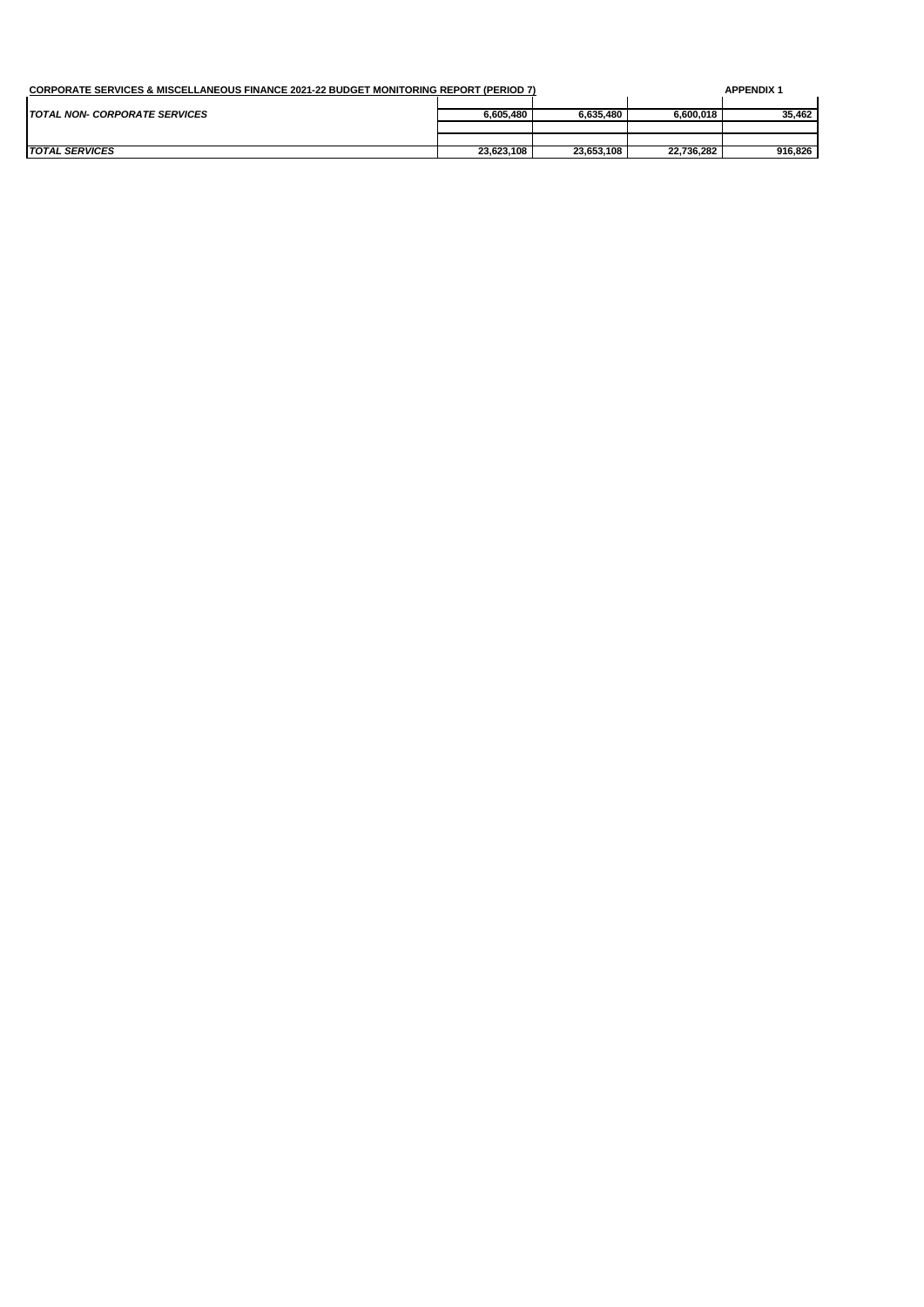| CORPORATE SERVICES & MISCELLANEOUS FINANCE 2021-22 BUDGET MONITORING REPORT (PERIOD 7) |            |            |            | <b>APPENDIX 1</b> |
|----------------------------------------------------------------------------------------|------------|------------|------------|-------------------|
|                                                                                        |            |            |            |                   |
| <b>TOTAL NON- CORPORATE SERVICES</b>                                                   | 6.605.480  | 6.635.480  | 6.600.018  | 35.462            |
|                                                                                        |            |            |            |                   |
|                                                                                        |            |            |            |                   |
| <b>TOTAL SERVICES</b>                                                                  | 23.623.108 | 23.653.108 | 22.736.282 | 916.826           |